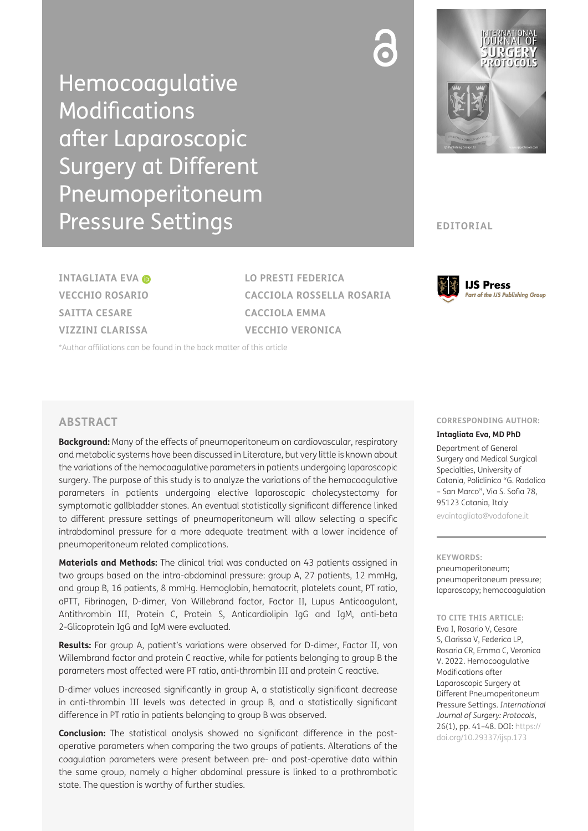Hemocoagulative **Modifications** after Laparoscopic Surgery at Different Pneumoperitoneum Pressure Settings



**EDITORIAL**

**INTAGLIATA EVA VECCHIO ROSARIO SAITTA CESARE VIZZINI CLARISSA**

**LO PRESTI FEDERICA CACCIOLA ROSSELLA ROSARIA CACCIOLA EMMA VECCHIO VERONICA**

[\\*Author affiliations can be found in the back matter of this article](#page-6-0)

## **ABSTRACT**

**Background:** Many of the effects of pneumoperitoneum on cardiovascular, respiratory and metabolic systems have been discussed in Literature, but very little is known about the variations of the hemocoagulative parameters in patients undergoing laparoscopic surgery. The purpose of this study is to analyze the variations of the hemocoagulative parameters in patients undergoing elective laparoscopic cholecystectomy for symptomatic gallbladder stones. An eventual statistically significant difference linked to different pressure settings of pneumoperitoneum will allow selecting a specific intrabdominal pressure for a more adequate treatment with a lower incidence of pneumoperitoneum related complications.

**Materials and Methods:** The clinical trial was conducted on 43 patients assigned in two groups based on the intra-abdominal pressure: group A, 27 patients, 12 mmHg, and group B, 16 patients, 8 mmHg. Hemoglobin, hematocrit, platelets count, PT ratio, aPTT, Fibrinogen, D-dimer, Von Willebrand factor, Factor II, Lupus Anticoagulant, Antithrombin III, Protein C, Protein S, Anticardiolipin IgG and IgM, anti-beta 2-Glicoprotein IgG and IgM were evaluated.

**Results:** For group A, patient's variations were observed for D-dimer, Factor II, von Willembrand factor and protein C reactive, while for patients belonging to group B the parameters most affected were PT ratio, anti-thrombin III and protein C reactive.

D-dimer values increased significantly in group A, a statistically significant decrease in anti-thrombin III levels was detected in group B, and a statistically significant difference in PT ratio in patients belonging to group B was observed.

**Conclusion:** The statistical analysis showed no significant difference in the postoperative parameters when comparing the two groups of patients. Alterations of the coagulation parameters were present between pre- and post-operative data within the same group, namely a higher abdominal pressure is linked to a prothrombotic state. The question is worthy of further studies.

## **CORRESPONDING AUTHOR:**

**IJS Press** 

**Part of the IJS Publishing Group** 

#### **Intagliata Eva, MD PhD**

Department of General Surgery and Medical Surgical Specialties, University of Catania, Policlinico "G. Rodolico – San Marco", Via S. Sofia 78, 95123 Catania, Italy

[evaintagliata@vodafone.it](mailto:evaintagliata@vodafone.it)

# **KEYWORDS:**

pneumoperitoneum; pneumoperitoneum pressure; laparoscopy; hemocoagulation

### **TO CITE THIS ARTICLE:**

Eva I, Rosario V, Cesare S, Clarissa V, Federica LP, Rosaria CR, Emma C, Veronica V. 2022. Hemocoagulative Modifications after Laparoscopic Surgery at Different Pneumoperitoneum Pressure Settings. *International Journal of Surgery: Protocols*, 26(1), pp. 41–48. DOI: [https://](https://doi.org/10.29337/ijsp.173) [doi.org/10.29337/ijsp.173](https://doi.org/10.29337/ijsp.173)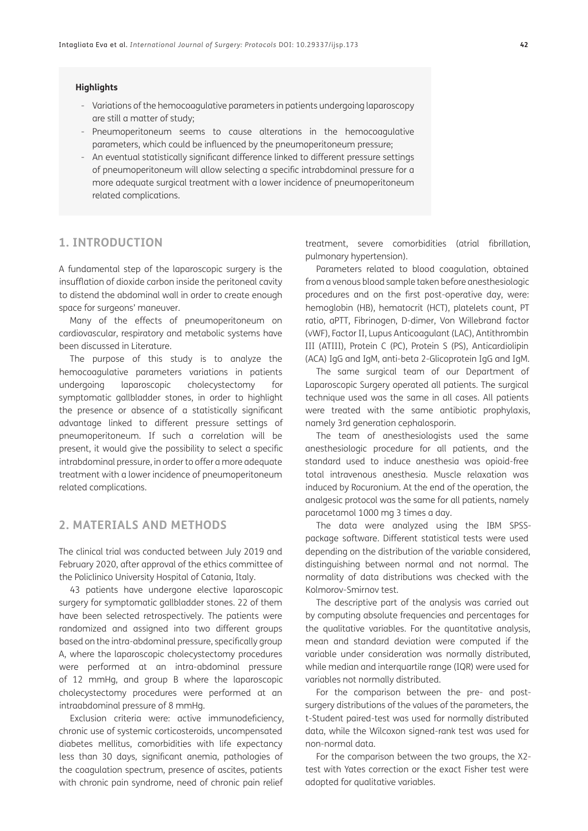### **Highlights**

- Variations of the hemocoagulative parameters in patients undergoing laparoscopy are still a matter of study;
- Pneumoperitoneum seems to cause alterations in the hemocoagulative parameters, which could be influenced by the pneumoperitoneum pressure;
- An eventual statistically significant difference linked to different pressure settings of pneumoperitoneum will allow selecting a specific intrabdominal pressure for a more adequate surgical treatment with a lower incidence of pneumoperitoneum related complications.

# **1. INTRODUCTION**

A fundamental step of the laparoscopic surgery is the insufflation of dioxide carbon inside the peritoneal cavity to distend the abdominal wall in order to create enough space for surgeons' maneuver.

Many of the effects of pneumoperitoneum on cardiovascular, respiratory and metabolic systems have been discussed in Literature.

The purpose of this study is to analyze the hemocoagulative parameters variations in patients undergoing laparoscopic cholecystectomy for symptomatic gallbladder stones, in order to highlight the presence or absence of a statistically significant advantage linked to different pressure settings of pneumoperitoneum. If such a correlation will be present, it would give the possibility to select a specific intrabdominal pressure, in order to offer a more adequate treatment with a lower incidence of pneumoperitoneum related complications.

# **2. MATERIALS AND METHODS**

The clinical trial was conducted between July 2019 and February 2020, after approval of the ethics committee of the Policlinico University Hospital of Catania, Italy.

43 patients have undergone elective laparoscopic surgery for symptomatic gallbladder stones. 22 of them have been selected retrospectively. The patients were randomized and assigned into two different groups based on the intra-abdominal pressure, specifically group A, where the laparoscopic cholecystectomy procedures were performed at an intra-abdominal pressure of 12 mmHg, and group B where the laparoscopic cholecystectomy procedures were performed at an intraabdominal pressure of 8 mmHg.

Exclusion criteria were: active immunodeficiency, chronic use of systemic corticosteroids, uncompensated diabetes mellitus, comorbidities with life expectancy less than 30 days, significant anemia, pathologies of the coagulation spectrum, presence of ascites, patients with chronic pain syndrome, need of chronic pain relief

treatment, severe comorbidities (atrial fibrillation, pulmonary hypertension).

Parameters related to blood coagulation, obtained from a venous blood sample taken before anesthesiologic procedures and on the first post-operative day, were: hemoglobin (HB), hematocrit (HCT), platelets count, PT ratio, aPTT, Fibrinogen, D-dimer, Von Willebrand factor (vWF), Factor II, Lupus Anticoagulant (LAC), Antithrombin III (ATIII), Protein C (PC), Protein S (PS), Anticardiolipin (ACA) IgG and IgM, anti-beta 2-Glicoprotein IgG and IgM.

The same surgical team of our Department of Laparoscopic Surgery operated all patients. The surgical technique used was the same in all cases. All patients were treated with the same antibiotic prophylaxis, namely 3rd generation cephalosporin.

The team of anesthesiologists used the same anesthesiologic procedure for all patients, and the standard used to induce anesthesia was opioid-free total intravenous anesthesia. Muscle relaxation was induced by Rocuronium. At the end of the operation, the analgesic protocol was the same for all patients, namely paracetamol 1000 mg 3 times a day.

The data were analyzed using the IBM SPSSpackage software. Different statistical tests were used depending on the distribution of the variable considered, distinguishing between normal and not normal. The normality of data distributions was checked with the Kolmorov-Smirnov test.

The descriptive part of the analysis was carried out by computing absolute frequencies and percentages for the qualitative variables. For the quantitative analysis, mean and standard deviation were computed if the variable under consideration was normally distributed, while median and interquartile range (IQR) were used for variables not normally distributed.

For the comparison between the pre- and postsurgery distributions of the values of the parameters, the t-Student paired-test was used for normally distributed data, while the Wilcoxon signed-rank test was used for non-normal data.

For the comparison between the two groups, the X2 test with Yates correction or the exact Fisher test were adopted for qualitative variables.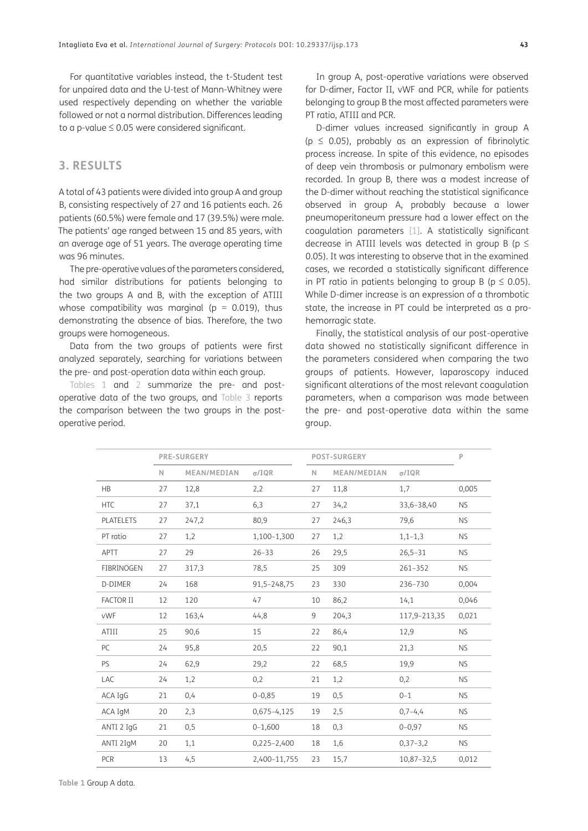For quantitative variables instead, the t-Student test for unpaired data and the U-test of Mann-Whitney were used respectively depending on whether the variable followed or not a normal distribution. Differences leading to a p-value  $\leq 0.05$  were considered significant.

# **3. RESULTS**

A total of 43 patients were divided into group A and group B, consisting respectively of 27 and 16 patients each. 26 patients (60.5%) were female and 17 (39.5%) were male. The patients' age ranged between 15 and 85 years, with an average age of 51 years. The average operating time was 96 minutes.

The pre-operative values of the parameters considered, had similar distributions for patients belonging to the two groups A and B, with the exception of ATIII whose compatibility was marginal ( $p = 0.019$ ), thus demonstrating the absence of bias. Therefore, the two groups were homogeneous.

Data from the two groups of patients were first analyzed separately, searching for variations between the pre- and post-operation data within each group.

[Tables 1](#page-2-0) and [2](#page-3-0) summarize the pre- and postoperative data of the two groups, and [Table 3](#page-3-1) reports the comparison between the two groups in the postoperative period.

In group A, post-operative variations were observed for D-dimer, Factor II, vWF and PCR, while for patients belonging to group B the most affected parameters were PT ratio, ATIII and PCR.

D-dimer values increased significantly in group A ( $p \leq 0.05$ ), probably as an expression of fibrinolytic process increase. In spite of this evidence, no episodes of deep vein thrombosis or pulmonary embolism were recorded. In group B, there was a modest increase of the D-dimer without reaching the statistical significance observed in group A, probably because a lower pneumoperitoneum pressure had a lower effect on the coagulation parameters [\[1](#page-6-1)]. A statistically significant decrease in ATIII levels was detected in group B ( $p \le$ 0.05). It was interesting to observe that in the examined cases, we recorded a statistically significant difference in PT ratio in patients belonging to group B ( $p \le 0.05$ ). While D-dimer increase is an expression of a thrombotic state, the increase in PT could be interpreted as a prohemorragic state.

Finally, the statistical analysis of our post-operative data showed no statistically significant difference in the parameters considered when comparing the two groups of patients. However, laparoscopy induced significant alterations of the most relevant coagulation parameters, when a comparison was made between the pre- and post-operative data within the same group.

<span id="page-2-0"></span>

|                  | <b>PRE-SURGERY</b> |             |                 | <b>POST-SURGERY</b> |             |               | P         |
|------------------|--------------------|-------------|-----------------|---------------------|-------------|---------------|-----------|
|                  | N.                 | MEAN/MEDIAN | $\sigma$ /IQR   | N.                  | MEAN/MEDIAN | $\sigma$ /IQR |           |
| <b>HB</b>        | 27                 | 12,8        | 2,2             | 27                  | 11,8        | 1,7           | 0,005     |
| <b>HTC</b>       | 27                 | 37,1        | 6,3             | 27                  | 34,2        | 33,6-38,40    | <b>NS</b> |
| PLATELETS        | 27                 | 247,2       | 80,9            | 27                  | 246,3       | 79,6          | <b>NS</b> |
| PT ratio         | 27                 | 1,2         | 1,100-1,300     | 27                  | 1,2         | $1,1-1,3$     | <b>NS</b> |
| <b>APTT</b>      | 27                 | 29          | $26 - 33$       | 26                  | 29,5        | $26,5 - 31$   | <b>NS</b> |
| FIBRINOGEN       | 27                 | 317,3       | 78,5            | 25                  | 309         | 261-352       | <b>NS</b> |
| D-DIMER          | 24                 | 168         | 91,5-248,75     | 23                  | 330         | 236-730       | 0,004     |
| <b>FACTOR II</b> | 12                 | 120         | 47              | 10                  | 86,2        | 14,1          | 0,046     |
| <b>vWF</b>       | 12                 | 163,4       | 44,8            | 9                   | 204,3       | 117,9-213,35  | 0,021     |
| ATIII            | 25                 | 90,6        | 15              | 22                  | 86,4        | 12,9          | <b>NS</b> |
| PC               | 24                 | 95,8        | 20,5            | 22                  | 90,1        | 21,3          | <b>NS</b> |
| PS               | 24                 | 62,9        | 29,2            | 22                  | 68,5        | 19,9          | <b>NS</b> |
| <b>LAC</b>       | 24                 | 1,2         | 0,2             | 21                  | 1,2         | 0,2           | <b>NS</b> |
| ACA IgG          | 21                 | 0,4         | $0 - 0.85$      | 19                  | 0, 5        | $0 - 1$       | <b>NS</b> |
| ACA IgM          | 20                 | 2,3         | $0,675 - 4,125$ | 19                  | 2,5         | $0,7-4,4$     | <b>NS</b> |
| ANTI 2 IgG       | 21                 | 0, 5        | $0 - 1,600$     | 18                  | 0,3         | $0 - 0.97$    | <b>NS</b> |
| ANTI 2IgM        | 20                 | 1,1         | $0,225 - 2,400$ | 18                  | 1,6         | $0,37-3,2$    | <b>NS</b> |
| PCR              | 13                 | 4,5         | 2,400-11,755    | 23                  | 15,7        | 10,87-32,5    | 0,012     |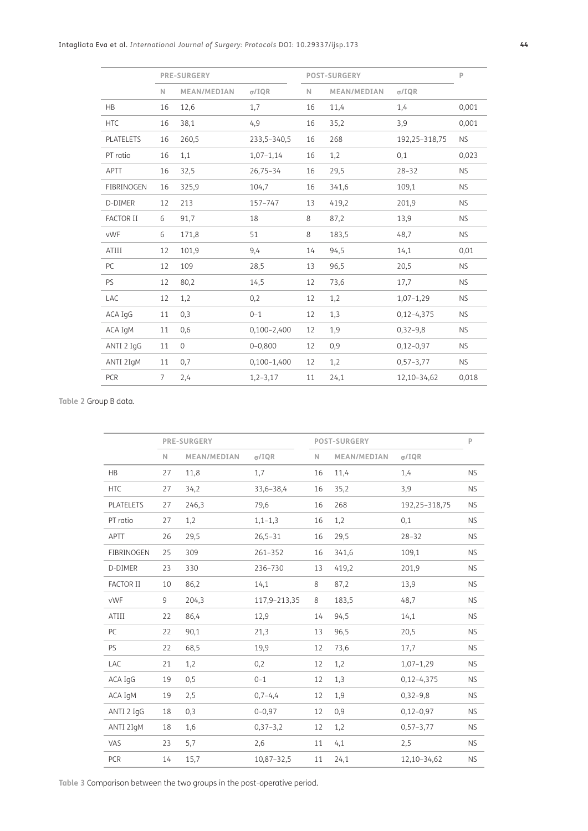|                  | <b>PRE-SURGERY</b> |                |                 | <b>POST-SURGERY</b> |             |               | $\mathsf{P}$ |
|------------------|--------------------|----------------|-----------------|---------------------|-------------|---------------|--------------|
|                  | $\mathbb N$        | MEAN/MEDIAN    | $\sigma$ /IQR   | $\mathbb N$         | MEAN/MEDIAN | $\sigma$ /IQR |              |
| <b>HB</b>        | 16                 | 12,6           | 1,7             | 16                  | 11,4        | 1,4           | 0,001        |
| <b>HTC</b>       | 16                 | 38,1           | 4,9             | 16                  | 35,2        | 3,9           | 0,001        |
| <b>PLATELETS</b> | 16                 | 260,5          | 233,5-340,5     | 16                  | 268         | 192,25-318,75 | <b>NS</b>    |
| PT ratio         | 16                 | 1,1            | $1,07-1,14$     | 16                  | 1,2         | 0,1           | 0,023        |
| <b>APTT</b>      | 16                 | 32,5           | $26,75 - 34$    | 16                  | 29,5        | $28 - 32$     | <b>NS</b>    |
| FIBRINOGEN       | 16                 | 325,9          | 104,7           | 16                  | 341,6       | 109,1         | <b>NS</b>    |
| D-DIMER          | 12                 | 213            | 157-747         | 13                  | 419,2       | 201,9         | <b>NS</b>    |
| <b>FACTOR II</b> | 6                  | 91,7           | 18              | 8                   | 87,2        | 13,9          | <b>NS</b>    |
| <b>vWF</b>       | 6                  | 171,8          | 51              | 8                   | 183,5       | 48,7          | <b>NS</b>    |
| ATIII            | 12                 | 101,9          | 9,4             | 14                  | 94,5        | 14,1          | 0,01         |
| PC               | 12                 | 109            | 28,5            | 13                  | 96,5        | 20,5          | <b>NS</b>    |
| PS               | 12                 | 80,2           | 14,5            | 12                  | 73,6        | 17,7          | <b>NS</b>    |
| <b>LAC</b>       | 12                 | 1,2            | 0,2             | 12                  | 1,2         | $1,07-1,29$   | <b>NS</b>    |
| ACA IgG          | 11                 | 0,3            | $0 - 1$         | 12                  | 1,3         | $0,12-4,375$  | <b>NS</b>    |
| ACA IgM          | 11                 | 0,6            | $0,100 - 2,400$ | 12                  | 1,9         | $0,32-9,8$    | <b>NS</b>    |
| ANTI 2 IgG       | 11                 | $\overline{0}$ | $0 - 0,800$     | 12                  | 0,9         | $0,12-0,97$   | <b>NS</b>    |
| ANTI 2IgM        | 11                 | 0,7            | $0,100 - 1,400$ | 12                  | 1,2         | $0,57-3,77$   | <b>NS</b>    |
| <b>PCR</b>       | $\overline{7}$     | 2,4            | $1, 2 - 3, 17$  | 11                  | 24,1        | 12,10-34,62   | 0,018        |
|                  |                    |                |                 |                     |             |               |              |

<span id="page-3-0"></span>**Table 2** Group B data.

|                  | <b>PRE-SURGERY</b> |             |               | <b>POST-SURGERY</b> |             |               | P         |
|------------------|--------------------|-------------|---------------|---------------------|-------------|---------------|-----------|
|                  | $\mathbb N$        | MEAN/MEDIAN | $\sigma$ /IQR | $\mathbb N$         | MEAN/MEDIAN | $\sigma$ /IQR |           |
| <b>HB</b>        | 27                 | 11,8        | 1,7           | 16                  | 11,4        | 1,4           | <b>NS</b> |
| <b>HTC</b>       | 27                 | 34,2        | 33,6-38,4     | 16                  | 35,2        | 3,9           | <b>NS</b> |
| PLATELETS        | 27                 | 246,3       | 79,6          | 16                  | 268         | 192,25-318,75 | <b>NS</b> |
| PT ratio         | 27                 | 1,2         | $1, 1 - 1, 3$ | 16                  | 1,2         | 0,1           | <b>NS</b> |
| <b>APTT</b>      | 26                 | 29,5        | $26,5 - 31$   | 16                  | 29,5        | $28 - 32$     | <b>NS</b> |
| FIBRINOGEN       | 25                 | 309         | 261-352       | 16                  | 341,6       | 109,1         | <b>NS</b> |
| D-DIMER          | 23                 | 330         | 236-730       | 13                  | 419,2       | 201,9         | <b>NS</b> |
| <b>FACTOR II</b> | 10                 | 86,2        | 14,1          | 8                   | 87,2        | 13,9          | <b>NS</b> |
| vWF              | 9                  | 204,3       | 117,9-213,35  | 8                   | 183,5       | 48,7          | <b>NS</b> |
| ATIII            | 22                 | 86,4        | 12,9          | 14                  | 94,5        | 14,1          | <b>NS</b> |
| PC               | 22                 | 90,1        | 21,3          | 13                  | 96,5        | 20,5          | <b>NS</b> |
| <b>PS</b>        | 22                 | 68,5        | 19,9          | 12                  | 73,6        | 17,7          | <b>NS</b> |
| LAC              | 21                 | 1,2         | 0,2           | 12                  | 1,2         | $1,07-1,29$   | <b>NS</b> |
| ACA IgG          | 19                 | 0, 5        | $0 - 1$       | 12                  | 1,3         | $0,12-4,375$  | <b>NS</b> |
| ACA IgM          | 19                 | 2,5         | $0,7-4,4$     | 12                  | 1,9         | $0,32-9,8$    | <b>NS</b> |
| ANTI 2 IgG       | 18                 | 0,3         | $0 - 0,97$    | 12                  | 0,9         | $0,12-0,97$   | <b>NS</b> |
| ANTI 2IgM        | 18                 | 1,6         | $0,37-3,2$    | 12                  | 1,2         | $0,57-3,77$   | <b>NS</b> |
| VAS              | 23                 | 5,7         | 2,6           | 11                  | 4,1         | 2,5           | <b>NS</b> |
| PCR              | 14                 | 15,7        | 10,87-32,5    | 11                  | 24,1        | 12,10-34,62   | <b>NS</b> |

<span id="page-3-1"></span>**Table 3** Comparison between the two groups in the post-operative period.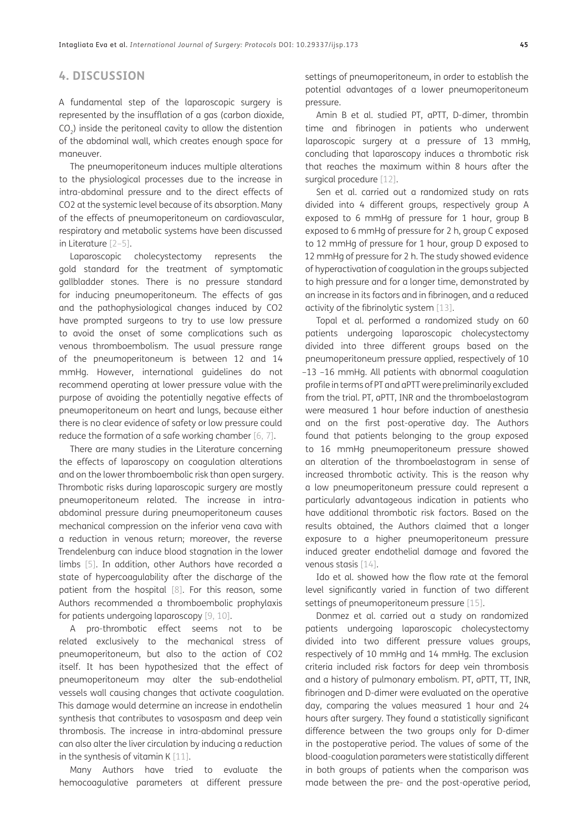# **4. DISCUSSION**

A fundamental step of the laparoscopic surgery is represented by the insufflation of a gas (carbon dioxide, CO<sub>2</sub>) inside the peritoneal cavity to allow the distention of the abdominal wall, which creates enough space for maneuver.

The pneumoperitoneum induces multiple alterations to the physiological processes due to the increase in intra-abdominal pressure and to the direct effects of CO2 at the systemic level because of its absorption. Many of the effects of pneumoperitoneum on cardiovascular, respiratory and metabolic systems have been discussed in Literature [[2](#page-6-2)[–5](#page-6-3)].

Laparoscopic cholecystectomy represents the gold standard for the treatment of symptomatic gallbladder stones. There is no pressure standard for inducing pneumoperitoneum. The effects of gas and the pathophysiological changes induced by CO2 have prompted surgeons to try to use low pressure to avoid the onset of some complications such as venous thromboembolism. The usual pressure range of the pneumoperitoneum is between 12 and 14 mmHg. However, international guidelines do not recommend operating at lower pressure value with the purpose of avoiding the potentially negative effects of pneumoperitoneum on heart and lungs, because either there is no clear evidence of safety or low pressure could reduce the formation of a safe working chamber [[6,](#page-6-4) [7](#page-6-5)].

There are many studies in the Literature concerning the effects of laparoscopy on coagulation alterations and on the lower thromboembolic risk than open surgery. Thrombotic risks during laparoscopic surgery are mostly pneumoperitoneum related. The increase in intraabdominal pressure during pneumoperitoneum causes mechanical compression on the inferior vena cava with a reduction in venous return; moreover, the reverse Trendelenburg can induce blood stagnation in the lower limbs [[5](#page-6-3)]. In addition, other Authors have recorded a state of hypercoagulability after the discharge of the patient from the hospital [[8\]](#page-6-6). For this reason, some Authors recommended a thromboembolic prophylaxis for patients undergoing laparoscopy [\[9](#page-6-7), [10](#page-6-8)].

A pro-thrombotic effect seems not to be related exclusively to the mechanical stress of pneumoperitoneum, but also to the action of CO2 itself. It has been hypothesized that the effect of pneumoperitoneum may alter the sub-endothelial vessels wall causing changes that activate coagulation. This damage would determine an increase in endothelin synthesis that contributes to vasospasm and deep vein thrombosis. The increase in intra-abdominal pressure can also alter the liver circulation by inducing a reduction in the synthesis of vitamin K [[11](#page-6-9)].

Many Authors have tried to evaluate the hemocoagulative parameters at different pressure settings of pneumoperitoneum, in order to establish the potential advantages of a lower pneumoperitoneum pressure.

Amin B et al. studied PT, aPTT, D-dimer, thrombin time and fibrinogen in patients who underwent laparoscopic surgery at a pressure of 13 mmHg, concluding that laparoscopy induces a thrombotic risk that reaches the maximum within 8 hours after the surgical procedure [[12](#page-6-10)].

Sen et al. carried out a randomized study on rats divided into 4 different groups, respectively group A exposed to 6 mmHg of pressure for 1 hour, group B exposed to 6 mmHg of pressure for 2 h, group C exposed to 12 mmHg of pressure for 1 hour, group D exposed to 12 mmHg of pressure for 2 h. The study showed evidence of hyperactivation of coagulation in the groups subjected to high pressure and for a longer time, demonstrated by an increase in its factors and in fibrinogen, and a reduced activity of the fibrinolytic system [[13](#page-6-11)].

Topal et al. performed a randomized study on 60 patients undergoing laparoscopic cholecystectomy divided into three different groups based on the pneumoperitoneum pressure applied, respectively of 10 –13 –16 mmHg. All patients with abnormal coagulation profile in terms of PT and aPTT were preliminarily excluded from the trial. PT, aPTT, INR and the thromboelastogram were measured 1 hour before induction of anesthesia and on the first post-operative day. The Authors found that patients belonging to the group exposed to 16 mmHg pneumoperitoneum pressure showed an alteration of the thromboelastogram in sense of increased thrombotic activity. This is the reason why a low pneumoperitoneum pressure could represent a particularly advantageous indication in patients who have additional thrombotic risk factors. Based on the results obtained, the Authors claimed that a longer exposure to a higher pneumoperitoneum pressure induced greater endothelial damage and favored the venous stasis [[14](#page-6-12)].

Ido et al. showed how the flow rate at the femoral level significantly varied in function of two different settings of pneumoperitoneum pressure [[15\]](#page-7-0).

Donmez et al. carried out a study on randomized patients undergoing laparoscopic cholecystectomy divided into two different pressure values groups, respectively of 10 mmHg and 14 mmHg. The exclusion criteria included risk factors for deep vein thrombosis and a history of pulmonary embolism. PT, aPTT, TT, INR, fibrinogen and D-dimer were evaluated on the operative day, comparing the values measured 1 hour and 24 hours after surgery. They found a statistically significant difference between the two groups only for D-dimer in the postoperative period. The values of some of the blood-coagulation parameters were statistically different in both groups of patients when the comparison was made between the pre- and the post-operative period,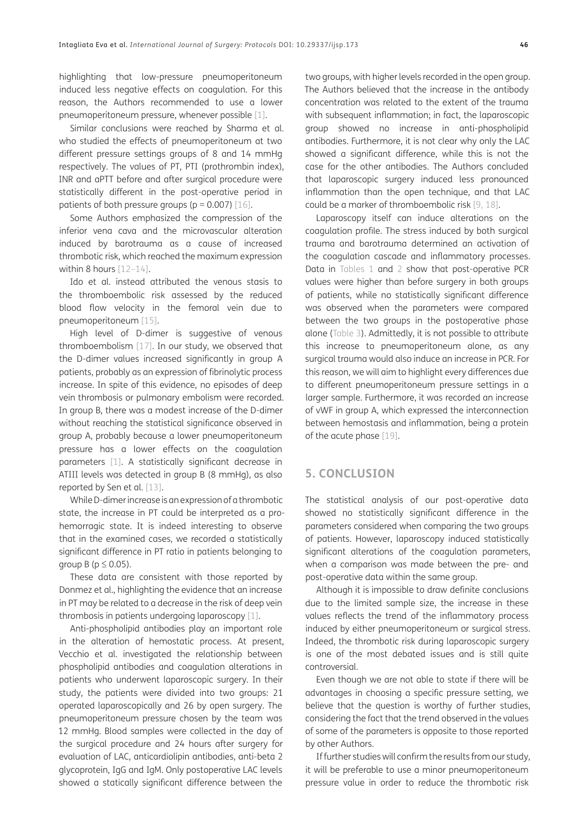highlighting that low-pressure pneumoperitoneum induced less negative effects on coagulation. For this reason, the Authors recommended to use a lower pneumoperitoneum pressure, whenever possible [[1\]](#page-6-1).

Similar conclusions were reached by Sharma et al. who studied the effects of pneumoperitoneum at two different pressure settings groups of 8 and 14 mmHg respectively. The values of PT, PTI (prothrombin index), INR and aPTT before and after surgical procedure were statistically different in the post-operative period in patients of both pressure groups ( $p = 0.007$ ) [[16\]](#page-7-1).

Some Authors emphasized the compression of the inferior vena cava and the microvascular alteration induced by barotrauma as a cause of increased thrombotic risk, which reached the maximum expression within 8 hours [\[12–](#page-6-10)[14](#page-6-12)].

Ido et al. instead attributed the venous stasis to the thromboembolic risk assessed by the reduced blood flow velocity in the femoral vein due to pneumoperitoneum [[15](#page-7-0)].

High level of D-dimer is suggestive of venous thromboembolism [[17](#page-7-2)]. In our study, we observed that the D-dimer values increased significantly in group A patients, probably as an expression of fibrinolytic process increase. In spite of this evidence, no episodes of deep vein thrombosis or pulmonary embolism were recorded. In group B, there was a modest increase of the D-dimer without reaching the statistical significance observed in group A, probably because a lower pneumoperitoneum pressure has a lower effects on the coagulation parameters [[1\]](#page-6-1). A statistically significant decrease in ATIII levels was detected in group B (8 mmHg), as also reported by Sen et al. [\[13\]](#page-6-11).

While D-dimer increase is an expression of a thrombotic state, the increase in PT could be interpreted as a prohemorragic state. It is indeed interesting to observe that in the examined cases, we recorded a statistically significant difference in PT ratio in patients belonging to group B ( $p \leq 0.05$ ).

These data are consistent with those reported by Donmez et al., highlighting the evidence that an increase in PT may be related to a decrease in the risk of deep vein thrombosis in patients undergoing laparoscopy [[1\]](#page-6-1).

Anti-phospholipid antibodies play an important role in the alteration of hemostatic process. At present, Vecchio et al. investigated the relationship between phospholipid antibodies and coagulation alterations in patients who underwent laparoscopic surgery. In their study, the patients were divided into two groups: 21 operated laparoscopically and 26 by open surgery. The pneumoperitoneum pressure chosen by the team was 12 mmHg. Blood samples were collected in the day of the surgical procedure and 24 hours after surgery for evaluation of LAC, anticardiolipin antibodies, anti-beta 2 glycoprotein, IgG and IgM. Only postoperative LAC levels showed a statically significant difference between the

two groups, with higher levels recorded in the open group. The Authors believed that the increase in the antibody concentration was related to the extent of the trauma with subsequent inflammation; in fact, the laparoscopic group showed no increase in anti-phospholipid antibodies. Furthermore, it is not clear why only the LAC showed a significant difference, while this is not the case for the other antibodies. The Authors concluded that laparoscopic surgery induced less pronounced inflammation than the open technique, and that LAC could be a marker of thromboembolic risk [[9](#page-6-7), [18\]](#page-7-3).

Laparoscopy itself can induce alterations on the coagulation profile. The stress induced by both surgical trauma and barotrauma determined an activation of the coagulation cascade and inflammatory processes. Data in [Tables 1](#page-2-0) and [2](#page-3-0) show that post-operative PCR values were higher than before surgery in both groups of patients, while no statistically significant difference was observed when the parameters were compared between the two groups in the postoperative phase alone [\(Table 3\)](#page-3-1). Admittedly, it is not possible to attribute this increase to pneumoperitoneum alone, as any surgical trauma would also induce an increase in PCR. For this reason, we will aim to highlight every differences due to different pneumoperitoneum pressure settings in a larger sample. Furthermore, it was recorded an increase of vWF in group A, which expressed the interconnection between hemostasis and inflammation, being a protein of the acute phase [[19\]](#page-7-4).

# **5. CONCLUSION**

The statistical analysis of our post-operative data showed no statistically significant difference in the parameters considered when comparing the two groups of patients. However, laparoscopy induced statistically significant alterations of the coagulation parameters, when a comparison was made between the pre- and post-operative data within the same group.

Although it is impossible to draw definite conclusions due to the limited sample size, the increase in these values reflects the trend of the inflammatory process induced by either pneumoperitoneum or surgical stress. Indeed, the thrombotic risk during laparoscopic surgery is one of the most debated issues and is still quite controversial.

Even though we are not able to state if there will be advantages in choosing a specific pressure setting, we believe that the question is worthy of further studies, considering the fact that the trend observed in the values of some of the parameters is opposite to those reported by other Authors.

If further studies will confirm the results from our study, it will be preferable to use a minor pneumoperitoneum pressure value in order to reduce the thrombotic risk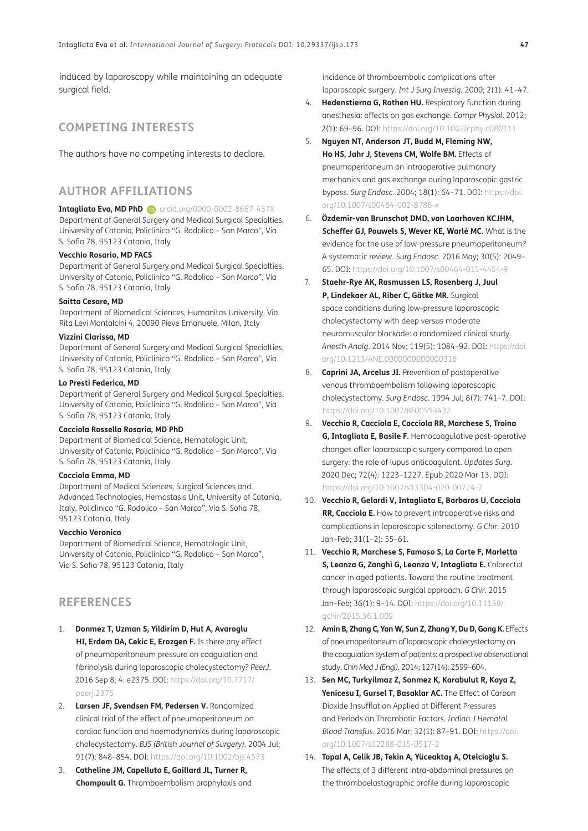induced by laparoscopy while maintaining an adequate surgical field.

# **COMPETING INTERESTS**

The authors have no competing interests to declare.

# <span id="page-6-0"></span>**AUTHOR AFFILIATIONS**

### **Intagliata Eva, MD PhD iD** [orcid.org/0000-0002-8667-457X](https://orcid.org/0000-0002-8667-457X)

Department of General Surgery and Medical Surgical Specialties, University of Catania, Policlinico "G. Rodolico – San Marco", Via S. Sofia 78, 95123 Catania, Italy

## **Vecchio Rosario, MD FACS**

Department of General Surgery and Medical Surgical Specialties, University of Catania, Policlinico "G. Rodolico – San Marco", Via S. Sofia 78, 95123 Catania, Italy

### **Saitta Cesare, MD**

Department of Biomedical Sciences, Humanitas University, Via Rita Levi Montalcini 4, 20090 Pieve Emanuele, Milan, Italy

### **Vizzini Clarissa, MD**

Department of General Surgery and Medical Surgical Specialties, University of Catania, Policlinico "G. Rodolico – San Marco", Via S. Sofia 78, 95123 Catania, Italy

## **Lo Presti Federica, MD**

Department of General Surgery and Medical Surgical Specialties, University of Catania, Policlinico "G. Rodolico – San Marco", Via S. Sofia 78, 95123 Catania, Italy

### **Cacciola Rossella Rosaria, MD PhD**

Department of Biomedical Science, Hematologic Unit, University of Catania, Policlinico "G. Rodolico – San Marco", Via S. Sofia 78, 95123 Catania, Italy

#### **Cacciola Emma, MD**

Department of Medical Sciences, Surgical Sciences and Advanced Technologies, Hemostasis Unit, University of Catania, Italy, Policlinico "G. Rodolico – San Marco", Via S. Sofia 78, 95123 Catania, Italy

## **Vecchio Veronica**

Department of Biomedical Science, Hematologic Unit, University of Catania, Policlinico "G. Rodolico – San Marco", Via S. Sofia 78, 95123 Catania, Italy

# **REFERENCES**

- <span id="page-6-1"></span>1. **Donmez T, Uzman S, Yildirim D, Hut A, Avaroglu HI, Erdem DA, Cekic E, Erozgen F.** Is there any effect of pneumoperitoneum pressure on coagulation and fibrinolysis during laparoscopic cholecystectomy? *PeerJ*. 2016 Sep 8; 4: e2375. DOI: [https://doi.org/10.7717/](https://doi.org/10.7717/peerj.2375) [peerj.2375](https://doi.org/10.7717/peerj.2375)
- <span id="page-6-2"></span>2. **Larsen JF, Svendsen FM, Pedersen V.** Randomized clinical trial of the effect of pneumoperitoneum on cardiac function and haemodynamics during laparoscopic cholecystectomy. *BJS (British Journal of Surgery)*. 2004 Jul; 91(7): 848–854. DOI: <https://doi.org/10.1002/bjs.4573>
- 3. **Catheline JM, Capelluto E, Gaillard JL, Turner R, Champault G.** Thromboembolism prophylaxis and

incidence of thromboembolic complications after laparoscopic surgery. *Int J Surg Investig*. 2000; 2(1): 41–47.

- 4. **Hedenstierna G, Rothen HU.** Respiratory function during anesthesia: effects on gas exchange. *Compr Physiol*. 2012; 2(1): 69–96. DOI: <https://doi.org/10.1002/cphy.c080111>
- <span id="page-6-3"></span>5. **Nguyen NT, Anderson JT, Budd M, Fleming NW, Ho HS, Jahr J, Stevens CM, Wolfe BM.** Effects of pneumoperitoneum on intraoperative pulmonary mechanics and gas exchange during laparoscopic gastric bypass. *Surg Endosc*. 2004; 18(1): 64–71. DOI: [https://doi.](https://doi.org/10.1007/s00464-002-8786-x) [org/10.1007/s00464-002-8786-x](https://doi.org/10.1007/s00464-002-8786-x)
- <span id="page-6-4"></span>6. **Özdemir-van Brunschot DMD, van Laarhoven KCJHM, Scheffer GJ, Pouwels S, Wever KE, Warlé MC.** What is the evidence for the use of low-pressure pneumoperitoneum? A systematic review. *Surg Endosc*. 2016 May; 30(5): 2049– 65. DOI:<https://doi.org/10.1007/s00464-015-4454-9>
- <span id="page-6-5"></span>7. **Staehr-Rye AK, Rasmussen LS, Rosenberg J, Juul P, Lindekaer AL, Riber C, Gätke MR.** Surgical space conditions during low-pressure laparoscopic cholecystectomy with deep versus moderate neuromuscular blockade: a randomized clinical study. *Anesth Analg*. 2014 Nov; 119(5): 1084–92. DOI: [https://doi.](https://doi.org/10.1213/ANE.0000000000000316) [org/10.1213/ANE.0000000000000316](https://doi.org/10.1213/ANE.0000000000000316)
- <span id="page-6-6"></span>8. **Caprini JA, Arcelus JI.** Prevention of postoperative venous thromboembolism following laparoscopic cholecystectomy. *Surg Endosc*. 1994 Jul; 8(7): 741–7. DOI: <https://doi.org/10.1007/BF00593432>
- <span id="page-6-7"></span>9. **Vecchio R, Cacciola E, Cacciola RR, Marchese S, Troina G, Intagliata E, Basile F.** Hemocoagulative post-operative changes after laparoscopic surgery compared to open surgery: the role of lupus anticoagulant. *Updates Surg*. 2020 Dec; 72(4): 1223–1227. Epub 2020 Mar 13. DOI: <https://doi.org/10.1007/s13304-020-00724-7>
- <span id="page-6-8"></span>10. **Vecchio R, Gelardi V, Intagliata E, Barbaros U, Cacciola RR, Cacciola E.** How to prevent intraoperative risks and complications in laparoscopic splenectomy. *G Chir*. 2010 Jan–Feb; 31(1–2): 55–61.
- <span id="page-6-9"></span>11. **Vecchio R, Marchese S, Famoso S, La Corte F, Marletta S, Leanza G, Zanghì G, Leanza V, Intagliata E.** Colorectal cancer in aged patients. Toward the routine treatment through laparoscopic surgical approach. *G Chir*. 2015 Jan–Feb; 36(1): 9–14. DOI: [https://doi.org/10.11138/](https://doi.org/10.11138/gchir/2015.36.1.009) [gchir/2015.36.1.009](https://doi.org/10.11138/gchir/2015.36.1.009)
- <span id="page-6-10"></span>12. **Amin B, Zhang C, Yan W, Sun Z, Zhang Y, Du D, Gong K.** Effects of pneumoperitoneum of laparoscopic cholecystectomy on the coagulation system of patients: a prospective observational study. *Chin Med J (Engl)*. 2014; 127(14): 2599–604.
- <span id="page-6-11"></span>13. **Sen MC, Turkyilmaz Z, Sonmez K, Karabulut R, Kaya Z, Yenicesu I, Gursel T, Basaklar AC.** The Effect of Carbon Dioxide Insufflation Applied at Different Pressures and Periods on Thrombotic Factors. *Indian J Hematol Blood Transfus*. 2016 Mar; 32(1): 87–91. DOI: [https://doi.](https://doi.org/10.1007/s12288-015-0517-2) [org/10.1007/s12288-015-0517-2](https://doi.org/10.1007/s12288-015-0517-2)
- <span id="page-6-12"></span>14. **Topal A, Celik JB, Tekin A, Yüceakta**ş **A, Otelcio**ğ**lu S.** The effects of 3 different intra-abdominal pressures on the thromboelastographic profile during laparoscopic